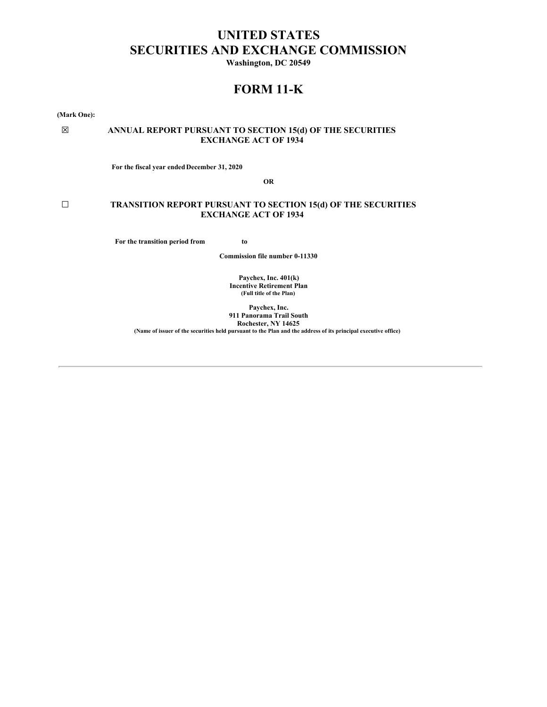# **UNITED STATES SECURITIES AND EXCHANGE COMMISSION**

**Washington, DC 20549**

# **FORM 11-K**

**(Mark One):**

# ☒ **ANNUAL REPORT PURSUANT TO SECTION 15(d) OF THE SECURITIES EXCHANGE ACT OF 1934**

**For the fiscal year ended December 31, 2020**

**OR**

# ☐ **TRANSITION REPORT PURSUANT TO SECTION 15(d) OF THE SECURITIES EXCHANGE ACT OF 1934**

**For the transition period from to**

**Commission file number 0-11330**

**Paychex, Inc. 401(k) Incentive Retirement Plan (Full title of the Plan)**

**Paychex, Inc. 911 Panorama Trail South Rochester, NY 14625** (Name of issuer of the securities held pursuant to the Plan and the address of its principal executive office)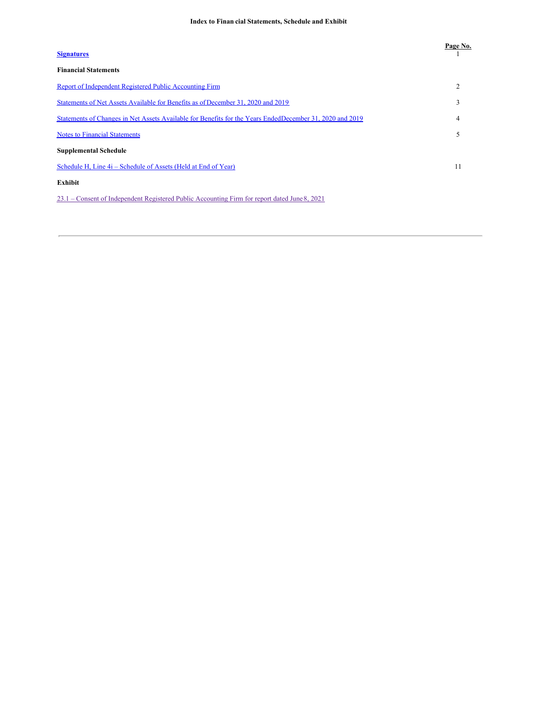# **Page No. [Signatures](#page-2-0)** 1

| <b>Financial Statements</b>                                                                              |    |
|----------------------------------------------------------------------------------------------------------|----|
| Report of Independent Registered Public Accounting Firm                                                  | 2  |
| Statements of Net Assets Available for Benefits as of December 31, 2020 and 2019                         | 3  |
| Statements of Changes in Net Assets Available for Benefits for the Years EndedDecember 31, 2020 and 2019 | 4  |
| <b>Notes to Financial Statements</b>                                                                     | 5  |
| <b>Supplemental Schedule</b>                                                                             |    |
| Schedule H, Line 4i – Schedule of Assets (Held at End of Year)                                           | 11 |
| Exhibit                                                                                                  |    |
| 23.1 – Consent of Independent Registered Public Accounting Firm for report dated June 8, 2021            |    |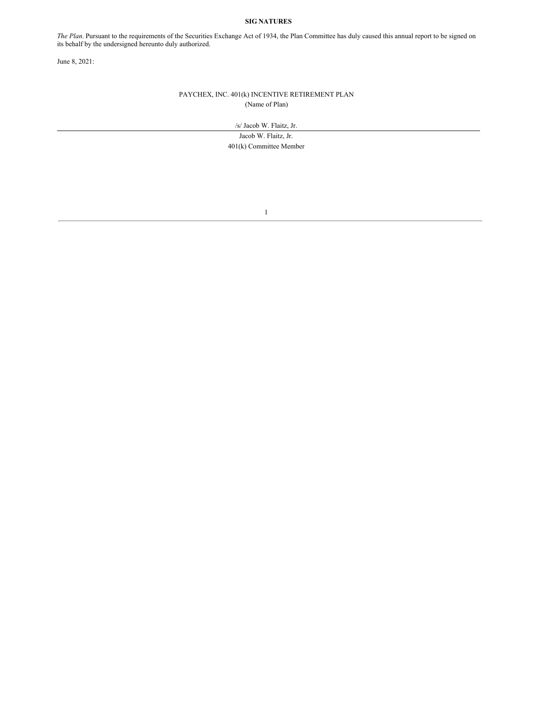## <span id="page-2-0"></span>**SIG NATURES**

*The Plan.* Pursuant to the requirements of the Securities Exchange Act of 1934, the Plan Committee has duly caused this annual report to be signed on its behalf by the undersigned hereunto duly authorized.

June 8, 2021:

# PAYCHEX, INC. 401(k) INCENTIVE RETIREMENT PLAN (Name of Plan)

/s/ Jacob W. Flaitz, Jr.

Jacob W. Flaitz, Jr. 401(k) Committee Member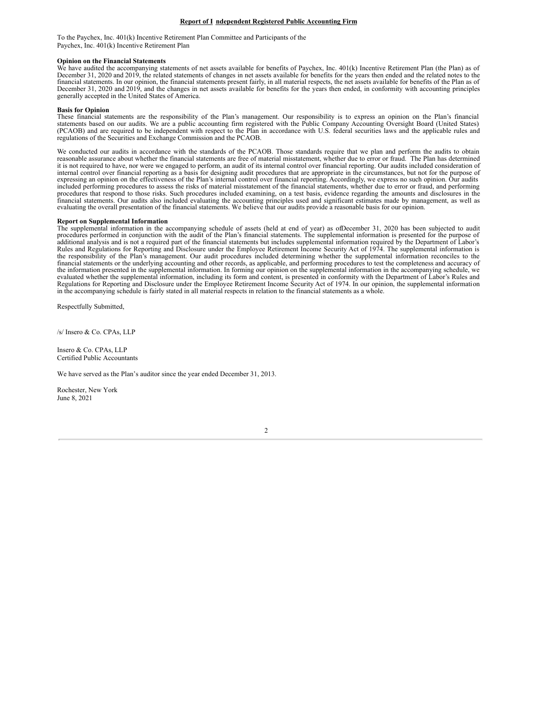<span id="page-3-0"></span>To the Paychex, Inc. 401(k) Incentive Retirement Plan Committee and Participants of the Paychex, Inc. 401(k) Incentive Retirement Plan

**Opinion on the Financial Statements**<br>We have audited the accompanying statements of net assets available for benefits of Paychex, Inc. 401(k) Incentive Retirement Plan (the Plan) as of December 31, 2020 and 2019, the related statements of changes in net assets available for benefits for the years then ended and the related notes to the financial statements. In our opinion, the financial statements present fairly, in all material respects, the net assets available for benefits of the Plan as of December 31, 2020 and 2019, and the changes in net assets available for benefits for the years then ended, in conformity with accounting principles generally accepted in the United States of America.

#### **Basis for Opinion**

These financial statements are the responsibility of the Plan's management. Our responsibility is to express an opinion on the Plan's financial statements based on our audits. We are a public accounting firm registered with the Public Company Accounting Oversight Board (United States) (PCAOB) and are required to be independent with respect to the Plan in accordance with U.S. federal securities laws and the applicable rules and regulations of the Securities and Exchange Commission and the PCAOB.

We conducted our audits in accordance with the standards of the PCAOB. Those standards require that we plan and perform the audits to obtain reasonable assurance about whether the financial statements are free of material it is not required to have, nor were we engaged to perform, an audit of its internal control over financial reporting. Our audits included consideration of internal control over financial reporting as a basis for designing expressing an opinion on the effectiveness of the Plan's internal control over financial reporting. Accordingly, we express no such opinion. Our audits included performing procedures to assess the risks of material misstat procedures that respond to those risks. Such procedures included examining, on a test basis, evidence regarding the amounts and disclosures in the financial statements. Our audits also included evaluating the accounting principles used and significant estimates made by management, as well as evaluating the overall presentation of the financial statements. We believe that our audits provide a reasonable basis for our opinion.

#### **Report on Supplemental Information**

The supplemental information in the accompanying schedule of assets (held at end of year) as ofDecember 31, 2020 has been subjected to audit procedures performed in conjunction with the audit of the Plan's financial statements. The supplemental information is presented for the purpose of additional analysis and is not a required part of the financial statements but includes supplemental information required by the Department of Labor's Rules and Regulations for Reporting and Disclosure under the Employee Retirement Income Security Act of 1974. The supplemental information is the responsibility of the Plan's management. Our audit procedures included determining whether the supplemental information reconciles to the financial statements or the underlying accounting and other records, as applicable, and performing procedures to test the completeness and accuracy of the information presented in the supplemental information. In forming our opinion on the supplemental information in the accompanying schedule, we evaluated whether the supplemental information, including its form and content, is presented in conformity with the Department of Labor's Rules and Regulations for Reporting and Disclosure under the Employee Retirement Income Security Act of 1974. In our opinion, the supplemental information in the accompanying schedule is fairly stated in all material respects in relation to the financial statements as a whole.

Respectfully Submitted,

/s/ Insero & Co. CPAs, LLP

Insero & Co. CPAs, LLP Certified Public Accountants

We have served as the Plan's auditor since the year ended December 31, 2013.

Rochester, New York June 8, 2021

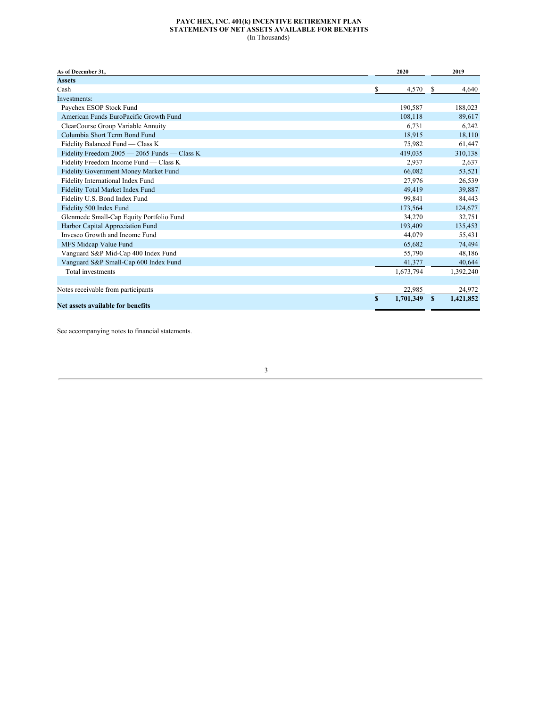#### <span id="page-4-0"></span>**PAYC HEX, INC. 401(k) INCENTIVE RETIREMENT PLAN STATEMENTS OF NET ASSETS AVAILABLE FOR BENEFITS** (In Thousands)

| As of December 31,                           | 2020            |              | 2019      |
|----------------------------------------------|-----------------|--------------|-----------|
| <b>Assets</b>                                |                 |              |           |
| Cash                                         | \$<br>4,570     | S            | 4,640     |
| Investments:                                 |                 |              |           |
| Paychex ESOP Stock Fund                      | 190,587         |              | 188,023   |
| American Funds EuroPacific Growth Fund       | 108,118         |              | 89,617    |
| ClearCourse Group Variable Annuity           | 6,731           |              | 6,242     |
| Columbia Short Term Bond Fund                | 18,915          |              | 18,110    |
| Fidelity Balanced Fund — Class K             | 75.982          |              | 61,447    |
| Fidelity Freedom 2005 - 2065 Funds - Class K | 419,035         |              | 310,138   |
| Fidelity Freedom Income Fund - Class K       | 2,937           |              | 2,637     |
| Fidelity Government Money Market Fund        | 66,082          |              | 53,521    |
| Fidelity International Index Fund            | 27,976          |              | 26,539    |
| Fidelity Total Market Index Fund             | 49.419          |              | 39,887    |
| Fidelity U.S. Bond Index Fund                | 99.841          |              | 84,443    |
| Fidelity 500 Index Fund                      | 173,564         |              | 124,677   |
| Glenmede Small-Cap Equity Portfolio Fund     | 34,270          |              | 32,751    |
| Harbor Capital Appreciation Fund             | 193,409         |              | 135,453   |
| Invesco Growth and Income Fund               | 44,079          |              | 55,431    |
| MFS Midcap Value Fund                        | 65,682          |              | 74,494    |
| Vanguard S&P Mid-Cap 400 Index Fund          | 55,790          |              | 48,186    |
| Vanguard S&P Small-Cap 600 Index Fund        | 41,377          |              | 40,644    |
| Total investments                            | 1,673,794       |              | 1,392,240 |
|                                              |                 |              |           |
| Notes receivable from participants           | 22.985          |              | 24,972    |
| Net assets available for benefits            | \$<br>1,701,349 | <sup>S</sup> | 1,421,852 |

See accompanying notes to financial statements.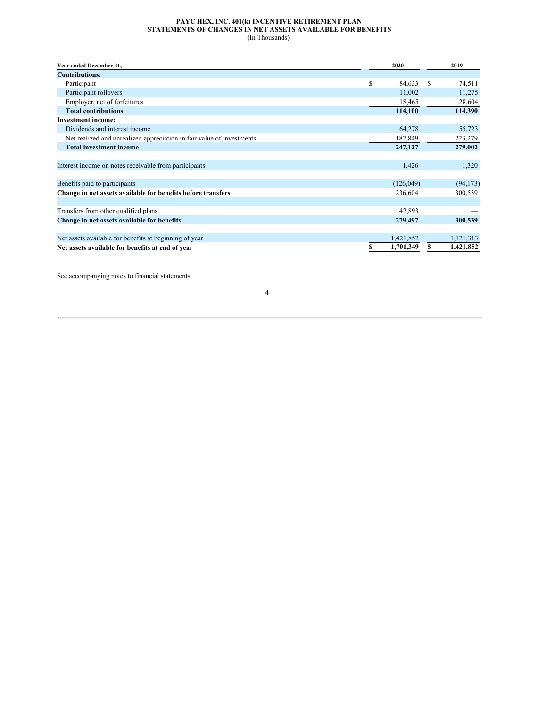#### <span id="page-5-0"></span>**PAYC HEX, INC. 401(k) INCENTIVE RETIREMENT PLAN STATEMENTS OF CHANGES IN NET ASSETS AVAILABLE FOR BENEFITS** (In Thousands)

**Year ended December 31, 2020 2019 Contributions:** Participant  $\frac{1}{2}$  84,633 \$ 74,511 Participant rollovers 11,002 11,275<br>
Employer, net of forfeitures 18,465 28,604 Employer, net of forfeitures 18,465 **Total contributions 114,100 114,390 Investment income:** Dividends and interest income 64,278 55,723 55,723 Net realized and unrealized appreciation in fair value of investments 182,849 223,279 223,279 279,002 **Total investment income 247,127 279,002** Interest income on notes receivable from participants 1,320 1,320 1,320 Benefits paid to participants (126,049) (94,173) **Change in net assets available for benefits before transfers** 236,604 300,539 Transfers from other qualified plans 42,893 **Change** in net assets available for benefits **279,497 279,497 279,497 300,539** Net assets available for benefits at beginning of year 1,421,852 1,121,313 1,121,313 **Net assets available for benefits at end of year \$ 1,701,349 \$ 1,421,852**

See accompanying notes to financial statements.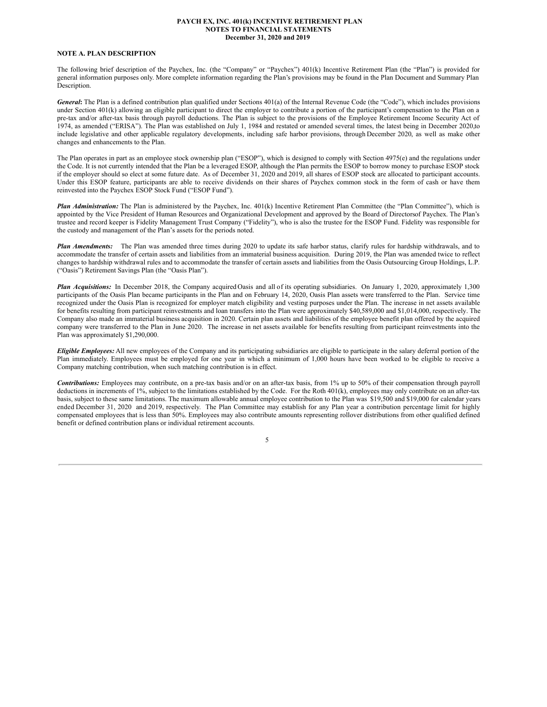#### <span id="page-6-0"></span>**PAYCH EX, INC. 401(k) INCENTIVE RETIREMENT PLAN NOTES TO FINANCIAL STATEMENTS December 31, 2020 and 2019**

#### **NOTE A. PLAN DESCRIPTION**

The following brief description of the Paychex, Inc. (the "Company" or "Paychex") 401(k) Incentive Retirement Plan (the "Plan") is provided for general information purposes only. More complete information regarding the Plan's provisions may be found in the Plan Document and Summary Plan Description.

*General***:** The Plan is a defined contribution plan qualified under Sections 401(a) of the Internal Revenue Code (the "Code"), which includes provisions under Section 401(k) allowing an eligible participant to direct the employer to contribute a portion of the participant's compensation to the Plan on a pre-tax and/or after-tax basis through payroll deductions. The Plan is subject to the provisions of the Employee Retirement Income Security Act of 1974, as amended ("ERISA"). The Plan was established on July 1, 1984 and restated or amended several times, the latest being in December 2020,to include legislative and other applicable regulatory developments, including safe harbor provisions, through December 2020, as well as make other changes and enhancements to the Plan.

The Plan operates in part as an employee stock ownership plan ("ESOP"), which is designed to comply with Section 4975(e) and the regulations under the Code. It is not currently intended that the Plan be a leveraged ESOP, although the Plan permits the ESOP to borrow money to purchase ESOP stock if the employer should so elect at some future date. As of December 31, 2020 and 2019, all shares of ESOP stock are allocated to participant accounts. Under this ESOP feature, participants are able to receive dividends on their shares of Paychex common stock in the form of cash or have them reinvested into the Paychex ESOP Stock Fund ("ESOP Fund").

*Plan Administration:* The Plan is administered by the Paychex, Inc. 401(k) Incentive Retirement Plan Committee (the "Plan Committee"), which is appointed by the Vice President of Human Resources and Organizational Development and approved by the Board of Directorsof Paychex. The Plan's trustee and record keeper is Fidelity Management Trust Company ("Fidelity"), who is also the trustee for the ESOP Fund. Fidelity was responsible for the custody and management of the Plan's assets for the periods noted.

*Plan Amendments:* The Plan was amended three times during 2020 to update its safe harbor status, clarify rules for hardship withdrawals, and to accommodate the transfer of certain assets and liabilities from an immaterial business acquisition. During 2019, the Plan was amended twice to reflect changes to hardship withdrawal rules and to accommodate the transfer of certain assets and liabilities from the Oasis Outsourcing Group Holdings, L.P. ("Oasis") Retirement Savings Plan (the "Oasis Plan").

*Plan Acquisitions:* In December 2018, the Company acquired Oasis and all of its operating subsidiaries. On January 1, 2020, approximately 1,300 participants of the Oasis Plan became participants in the Plan and on February 14, 2020, Oasis Plan assets were transferred to the Plan. Service time recognized under the Oasis Plan is recognized for employer match eligibility and vesting purposes under the Plan. The increase in net assets available for benefits resulting from participant reinvestments and loan transfers into the Plan were approximately \$40,589,000 and \$1,014,000, respectively. The Company also made an immaterial business acquisition in 2020. Certain plan assets and liabilities of the employee benefit plan offered by the acquired company were transferred to the Plan in June 2020. The increase in net assets available for benefits resulting from participant reinvestments into the Plan was approximately \$1,290,000.

*Eligible Employees:* All new employees of the Company and its participating subsidiaries are eligible to participate in the salary deferral portion of the Plan immediately. Employees must be employed for one year in which a minimum of 1,000 hours have been worked to be eligible to receive a Company matching contribution, when such matching contribution is in effect.

*Contributions:* Employees may contribute, on a pre-tax basis and/or on an after-tax basis, from 1% up to 50% of their compensation through payroll deductions in increments of 1%, subject to the limitations established by the Code. For the Roth 401(k), employees may only contribute on an after-tax basis, subject to these same limitations. The maximum allowable annual employee contribution to the Plan was \$19,500 and \$19,000 for calendar years ended December 31, 2020 and 2019, respectively. The Plan Committee may establish for any Plan year a contribution percentage limit for highly compensated employees that is less than 50%. Employees may also contribute amounts representing rollover distributions from other qualified defined benefit or defined contribution plans or individual retirement accounts.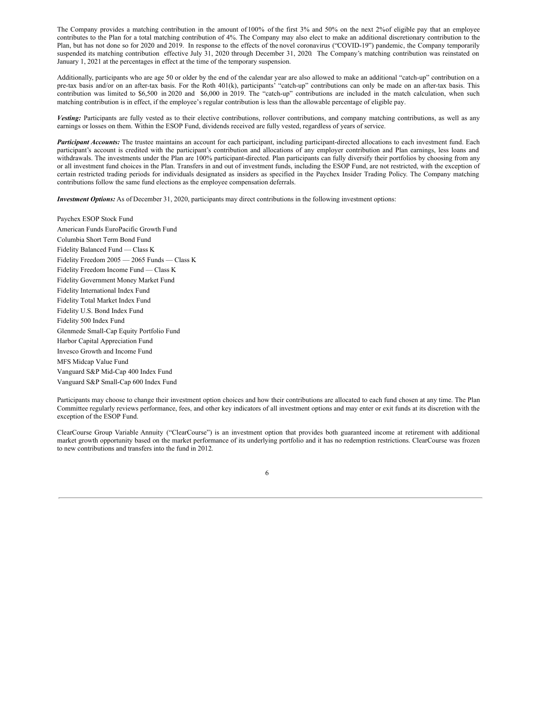The Company provides a matching contribution in the amount of 100% of the first 3% and 50% on the next 2%of eligible pay that an employee contributes to the Plan for a total matching contribution of 4%. The Company may also elect to make an additional discretionary contribution to the Plan, but has not done so for 2020 and 2019. In response to the effects of the novel coronavirus ("COVID-19") pandemic, the Company temporarily suspended its matching contribution effective July 31, 2020 through December 31, 2020. The Company's matching contribution was reinstated on January 1, 2021 at the percentages in effect at the time of the temporary suspension.

Additionally, participants who are age 50 or older by the end of the calendar year are also allowed to make an additional "catch-up" contribution on a pre-tax basis and/or on an after-tax basis. For the Roth 401(k), participants' "catch-up" contributions can only be made on an after-tax basis. This contribution was limited to \$6,500 in 2020 and \$6,000 in 2019. The "catch-up" contributions are included in the match calculation, when such matching contribution is in effect, if the employee's regular contribution is less than the allowable percentage of eligible pay.

*Vesting:* Participants are fully vested as to their elective contributions, rollover contributions, and company matching contributions, as well as any earnings or losses on them. Within the ESOP Fund, dividends received are fully vested, regardless of years of service.

*Participant Accounts:* The trustee maintains an account for each participant, including participant-directed allocations to each investment fund. Each participant's account is credited with the participant's contribution and allocations of any employer contribution and Plan earnings, less loans and withdrawals. The investments under the Plan are 100% participant-directed. Plan participants can fully diversify their portfolios by choosing from any or all investment fund choices in the Plan. Transfers in and out of investment funds, including the ESOP Fund, are not restricted, with the exception of certain restricted trading periods for individuals designated as insiders as specified in the Paychex Insider Trading Policy. The Company matching contributions follow the same fund elections as the employee compensation deferrals.

*Investment Options:* As of December 31, 2020, participants may direct contributions in the following investment options:

Paychex ESOP Stock Fund American Funds EuroPacific Growth Fund Columbia Short Term Bond Fund Fidelity Balanced Fund — Class K Fidelity Freedom 2005 — 2065 Funds — Class K Fidelity Freedom Income Fund — Class K Fidelity Government Money Market Fund Fidelity International Index Fund Fidelity Total Market Index Fund Fidelity U.S. Bond Index Fund Fidelity 500 Index Fund Glenmede Small-Cap Equity Portfolio Fund Harbor Capital Appreciation Fund Invesco Growth and Income Fund MFS Midcap Value Fund Vanguard S&P Mid-Cap 400 Index Fund Vanguard S&P Small-Cap 600 Index Fund

Participants may choose to change their investment option choices and how their contributions are allocated to each fund chosen at any time. The Plan Committee regularly reviews performance, fees, and other key indicators of all investment options and may enter or exit funds at its discretion with the exception of the ESOP Fund.

ClearCourse Group Variable Annuity ("ClearCourse") is an investment option that provides both guaranteed income at retirement with additional market growth opportunity based on the market performance of its underlying portfolio and it has no redemption restrictions. ClearCourse was frozen to new contributions and transfers into the fund in 2012.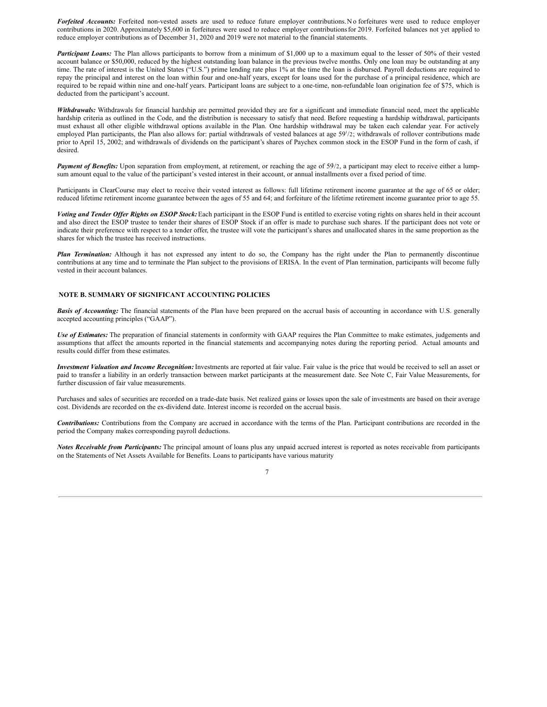*Forfeited Accounts:* Forfeited non-vested assets are used to reduce future employer contributions.N o forfeitures were used to reduce employer contributions in 2020. Approximately \$5,600 in forfeitures were used to reduce employer contributionsfor 2019. Forfeited balances not yet applied to reduce employer contributions as of December 31, 2020 and 2019 were not material to the financial statements.

*Participant Loans:* The Plan allows participants to borrow from a minimum of \$1,000 up to a maximum equal to the lesser of 50% of their vested account balance or \$50,000, reduced by the highest outstanding loan balance in the previous twelve months. Only one loan may be outstanding at any time. The rate of interest is the United States ("U.S.") prime lending rate plus 1% at the time the loan is disbursed. Payroll deductions are required to repay the principal and interest on the loan within four and one-half years, except for loans used for the purchase of a principal residence, which are required to be repaid within nine and one-half years. Participant loans are subject to a one-time, non-refundable loan origination fee of \$75, which is deducted from the participant's account.

*Withdrawals:* Withdrawals for financial hardship are permitted provided they are for a significant and immediate financial need, meet the applicable hardship criteria as outlined in the Code, and the distribution is necessary to satisfy that need. Before requesting a hardship withdrawal, participants must exhaust all other eligible withdrawal options available in the Plan. One hardship withdrawal may be taken each calendar year. For actively employed Plan participants, the Plan also allows for: partial withdrawals of vested balances at age 59'/2; withdrawals of rollover contributions made prior to April 15, 2002; and withdrawals of dividends on the participant's shares of Paychex common stock in the ESOP Fund in the form of cash, if desired.

Payment of Benefits: Upon separation from employment, at retirement, or reaching the age of  $59/2$ , a participant may elect to receive either a lumpsum amount equal to the value of the participant's vested interest in their account, or annual installments over a fixed period of time.

Participants in ClearCourse may elect to receive their vested interest as follows: full lifetime retirement income guarantee at the age of 65 or older; reduced lifetime retirement income guarantee between the ages of 55 and 64; and forfeiture of the lifetime retirement income guarantee prior to age 55.

Voting and Tender Offer Rights on ESOP Stock: Each participant in the ESOP Fund is entitled to exercise voting rights on shares held in their account and also direct the ESOP trustee to tender their shares of ESOP Stock if an offer is made to purchase such shares. If the participant does not vote or indicate their preference with respect to a tender offer, the trustee will vote the participant's shares and unallocated shares in the same proportion as the shares for which the trustee has received instructions.

*Plan Termination:* Although it has not expressed any intent to do so, the Company has the right under the Plan to permanently discontinue contributions at any time and to terminate the Plan subject to the provisions of ERISA. In the event of Plan termination, participants will become fully vested in their account balances.

# **NOTE B. SUMMARY OF SIGNIFICANT ACCOUNTING POLICIES**

**Basis of Accounting:** The financial statements of the Plan have been prepared on the accrual basis of accounting in accordance with U.S. generally accepted accounting principles ("GAAP").

*Use of Estimates:* The preparation of financial statements in conformity with GAAP requires the Plan Committee to make estimates, judgements and assumptions that affect the amounts reported in the financial statements and accompanying notes during the reporting period. Actual amounts and results could differ from these estimates.

*Investment Valuation and Income Recognition:*Investments are reported at fair value. Fair value is the price that would be received to sell an asset or paid to transfer a liability in an orderly transaction between market participants at the measurement date. See Note C, Fair Value Measurements, for further discussion of fair value measurements.

Purchases and sales of securities are recorded on a trade-date basis. Net realized gains or losses upon the sale of investments are based on their average cost. Dividends are recorded on the ex-dividend date. Interest income is recorded on the accrual basis.

*Contributions:* Contributions from the Company are accrued in accordance with the terms of the Plan. Participant contributions are recorded in the period the Company makes corresponding payroll deductions.

*Notes Receivable from Participants:* The principal amount of loans plus any unpaid accrued interest is reported as notes receivable from participants on the Statements of Net Assets Available for Benefits. Loans to participants have various maturity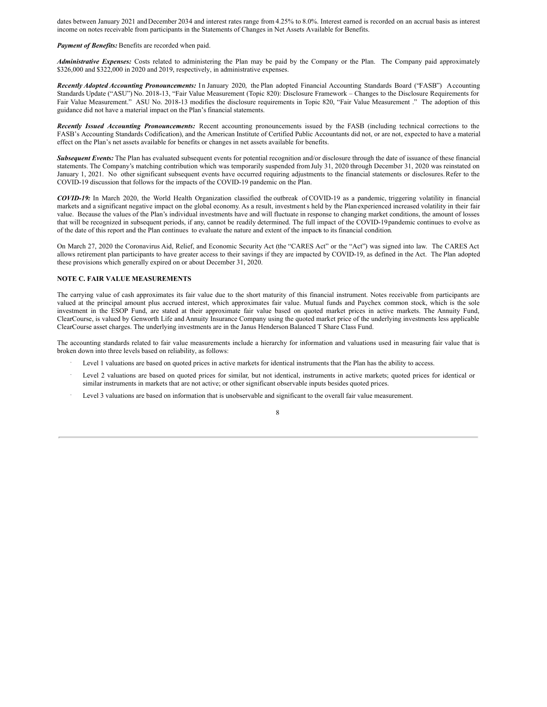dates between January 2021 and December 2034 and interest rates range from 4.25% to 8.0%. Interest earned is recorded on an accrual basis as interest income on notes receivable from participants in the Statements of Changes in Net Assets Available for Benefits.

#### *Payment of Benefits:* Benefits are recorded when paid.

*Administrative Expenses:* Costs related to administering the Plan may be paid by the Company or the Plan. The Company paid approximately \$326,000 and \$322,000 in 2020 and 2019, respectively, in administrative expenses.

*Recently Adopted Accounting Pronouncements:* I n January 2020, the Plan adopted Financial Accounting Standards Board ("FASB") Accounting Standards Update ("ASU") No. 2018-13, "Fair Value Measurement (Topic 820): Disclosure Framework – Changes to the Disclosure Requirements for Fair Value Measurement." ASU No. 2018-13 modifies the disclosure requirements in Topic 820, "Fair Value Measurement ." The adoption of this guidance did not have a material impact on the Plan's financial statements.

*Recently Issued Accounting Pronouncements:* Recent accounting pronouncements issued by the FASB (including technical corrections to the FASB's Accounting Standards Codification), and the American Institute of Certified Public Accountants did not, or are not, expected to have a material effect on the Plan's net assets available for benefits or changes in net assets available for benefits.

*Subsequent Events:* The Plan has evaluated subsequent events for potential recognition and/or disclosure through the date of issuance of these financial statements. The Company's matching contribution which was temporarily suspended from July 31, 2020 through December 31, 2020 was reinstated on January 1, 2021. No other significant subsequent events have occurred requiring adjustments to the financial statements or disclosures. Refer to the COVID-19 discussion that follows for the impacts of the COVID-19 pandemic on the Plan.

*COVID-19:* In March 2020, the World Health Organization classified the outbreak of COVID-19 as a pandemic, triggering volatility in financial markets and a significant negative impact on the global economy. As a result, investments held by the Plan experienced increased volatility in their fair value. Because the values of the Plan's individual investments have and will fluctuate in response to changing market conditions, the amount of losses that will be recognized in subsequent periods, if any, cannot be readily determined. The full impact of the COVID-19pandemic continues to evolve as of the date of this report and the Plan continues to evaluate the nature and extent of the impacts to its financial condition.

On March 27, 2020 the Coronavirus Aid, Relief, and Economic Security Act (the "CARES Act" or the "Act") was signed into law. The CARES Act allows retirement plan participants to have greater access to their savings if they are impacted by COVID-19, as defined in the Act. The Plan adopted these provisions which generally expired on or about December 31, 2020.

#### **NOTE C. FAIR VALUE MEASUREMENTS**

The carrying value of cash approximates its fair value due to the short maturity of this financial instrument. Notes receivable from participants are valued at the principal amount plus accrued interest, which approximates fair value. Mutual funds and Paychex common stock, which is the sole investment in the ESOP Fund, are stated at their approximate fair value based on quoted market prices in active markets. The Annuity Fund, ClearCourse, is valued by Genworth Life and Annuity Insurance Company using the quoted market price of the underlying investments less applicable ClearCourse asset charges. The underlying investments are in the Janus Henderson Balanced T Share Class Fund.

The accounting standards related to fair value measurements include a hierarchy for information and valuations used in measuring fair value that is broken down into three levels based on reliability, as follows:

- Level 1 valuations are based on quoted prices in active markets for identical instruments that the Plan has the ability to access.
- Level 2 valuations are based on quoted prices for similar, but not identical, instruments in active markets; quoted prices for identical or similar instruments in markets that are not active; or other significant observable inputs besides quoted prices.
- Level 3 valuations are based on information that is unobservable and significant to the overall fair value measurement.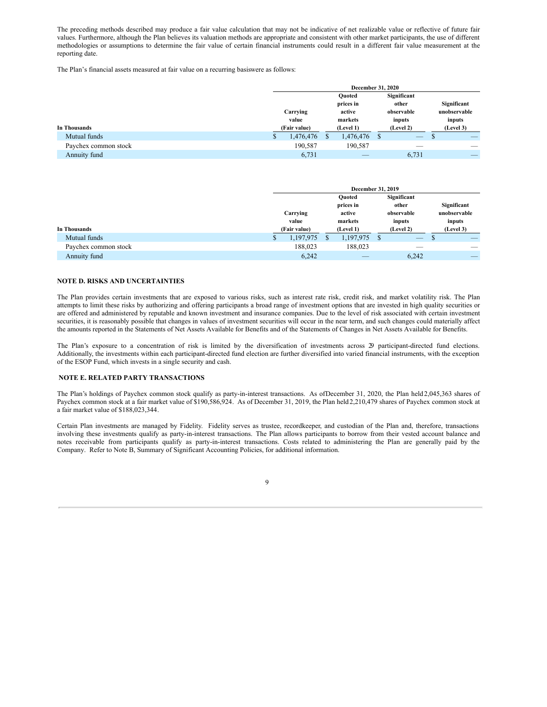The preceding methods described may produce a fair value calculation that may not be indicative of net realizable value or reflective of future fair values. Furthermore, although the Plan believes its valuation methods are appropriate and consistent with other market participants, the use of different methodologies or assumptions to determine the fair value of certain financial instruments could result in a different fair value measurement at the reporting date.

The Plan's financial assets measured at fair value on a recurring basiswere as follows:

|                      |   | <b>December 31, 2020</b> |        |                          |  |             |   |              |
|----------------------|---|--------------------------|--------|--------------------------|--|-------------|---|--------------|
|                      |   |                          | Ouoted |                          |  | Significant |   |              |
|                      |   |                          |        | prices in                |  | other       |   | Significant  |
|                      |   | Carrying                 |        | active                   |  | observable  |   | unobservable |
|                      |   | value                    |        | markets                  |  | inputs      |   | inputs       |
| In Thousands         |   | (Fair value)             |        | (Level 1)                |  | (Level 2)   |   | (Level 3)    |
| Mutual funds         | ъ | 1,476,476                |        | 1,476,476                |  |             | Œ |              |
| Paychex common stock |   | 190,587                  |        | 190.587                  |  | ___         |   |              |
| Annuity fund         |   | 6,731                    |        | $\overline{\phantom{m}}$ |  | 6,731       |   | _            |

|                      |   | December 31, 2019 |  |           |  |             |   |              |
|----------------------|---|-------------------|--|-----------|--|-------------|---|--------------|
|                      |   |                   |  | Ouoted    |  | Significant |   |              |
|                      |   |                   |  | prices in |  | other       |   | Significant  |
|                      |   | Carrying          |  | active    |  | observable  |   | unobservable |
|                      |   | value             |  | markets   |  | inputs      |   | inputs       |
| <b>In Thousands</b>  |   | (Fair value)      |  | (Level 1) |  | (Level 2)   |   | (Level 3)    |
| Mutual funds         | S | 1,197,975         |  | 1,197,975 |  |             | D |              |
| Paychex common stock |   | 188,023           |  | 188,023   |  | __          |   | __           |
| Annuity fund         |   | 6.242             |  | _         |  | 6.242       |   | _            |

#### **NOTE D. RISKS AND UNCERTAINTIES**

The Plan provides certain investments that are exposed to various risks, such as interest rate risk, credit risk, and market volatility risk. The Plan attempts to limit these risks by authorizing and offering participants a broad range of investment options that are invested in high quality securities or are offered and administered by reputable and known investment and insurance companies. Due to the level of risk associated with certain investment securities, it is reasonably possible that changes in values of investment securities will occur in the near term, and such changes could materially affect the amounts reported in the Statements of Net Assets Available for Benefits and of the Statements of Changes in Net Assets Available for Benefits.

The Plan's exposure to a concentration of risk is limited by the diversification of investments across  $\mathfrak D$  participant-directed fund elections. Additionally, the investments within each participant-directed fund election are further diversified into varied financial instruments, with the exception of the ESOP Fund, which invests in a single security and cash.

#### **NOTE E. RELATED PARTY TRANSACTIONS**

The Plan's holdings of Paychex common stock qualify as party-in-interest transactions. As ofDecember 31, 2020, the Plan held 2,045,363 shares of Paychex common stock at a fair market value of \$190,586,924. As of December 31, 2019, the Plan held 2,210,479 shares of Paychex common stock at a fair market value of \$188,023,344.

Certain Plan investments are managed by Fidelity. Fidelity serves as trustee, recordkeeper, and custodian of the Plan and, therefore, transactions involving these investments qualify as party-in-interest transactions. The Plan allows participants to borrow from their vested account balance and notes receivable from participants qualify as party-in-interest transactions. Costs related to administering the Plan are generally paid by the Company. Refer to Note B, Summary of Significant Accounting Policies, for additional information.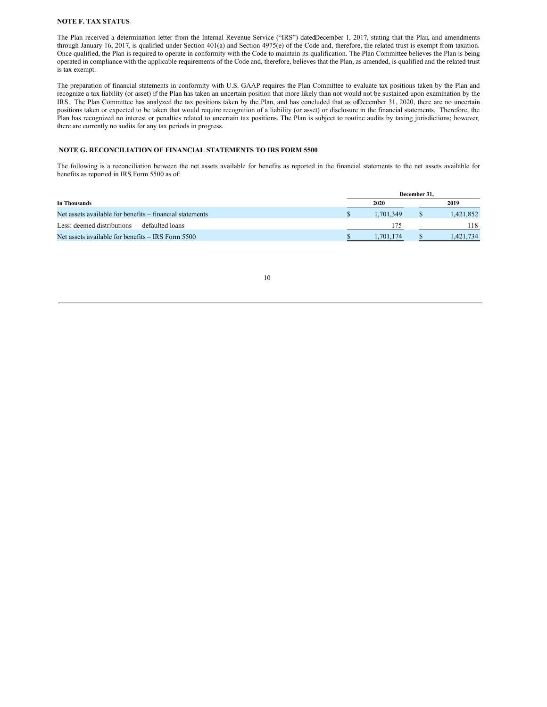#### **NOTE F. TAX STATUS**

The Plan received a determination letter from the Internal Revenue Service ("IRS") datedDecember 1, 2017, stating that the Plan, and amendments through January 16, 2017, is qualified under Section 401(a) and Section 4975(e) of the Code and, therefore, the related trust is exempt from taxation. Once qualified, the Plan is required to operate in conformity with the Code to maintain its qualification. The Plan Committee believes the Plan is being operated in compliance with the applicable requirements of the Code and, therefore, believes that the Plan, as amended, is qualified and the related trust is tax exempt.

The preparation of financial statements in conformity with U.S. GAAP requires the Plan Committee to evaluate tax positions taken by the Plan and recognize a tax liability (or asset) if the Plan has taken an uncertain position that more likely than not would not be sustained upon examination by the IRS. The Plan Committee has analyzed the tax positions taken by the Plan, and has concluded that as ofDecember 31, 2020, there are no uncertain positions taken or expected to be taken that would require recognition of a liability (or asset) or disclosure in the financial statements. Therefore, the Plan has recognized no interest or penalties related to uncertain tax positions. The Plan is subject to routine audits by taxing jurisdictions; however, there are currently no audits for any tax periods in progress.

### **NOTE G. RECONCILIATION OF FINANCIAL STATEMENTS TO IRS FORM 5500**

The following is a reconciliation between the net assets available for benefits as reported in the financial statements to the net assets available for benefits as reported in IRS Form 5500 as of:

|                                                          |           | December 31. |           |  |  |
|----------------------------------------------------------|-----------|--------------|-----------|--|--|
| In Thousands                                             | 2020      |              | 2019      |  |  |
| Net assets available for benefits – financial statements | 1.701.349 |              | 1.421.852 |  |  |
| Less: deemed distributions – defaulted loans             |           |              | 118       |  |  |
| Net assets available for benefits – IRS Form 5500        | 1.701.174 |              | 1.421.734 |  |  |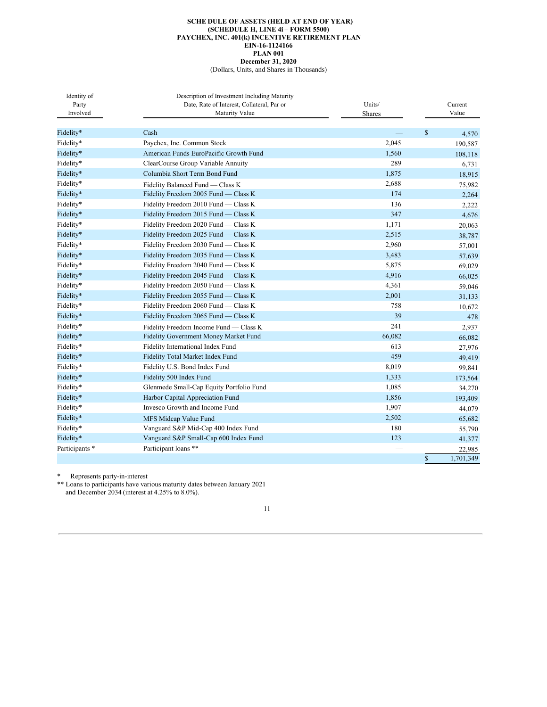#### <span id="page-12-0"></span>**SCHE DULE OF ASSETS (HELD AT END OF YEAR) (SCHEDULE H, LINE 4i – FORM 5500) PAYCHEX, INC. 401(k) INCENTIVE RETIREMENT PLAN EIN-16-1124166 PLAN 001 December 31, 2020** (Dollars, Units, and Shares in Thousands)

| Identity of<br>Party<br>Involved | Description of Investment Including Maturity<br>Date, Rate of Interest, Collateral, Par or<br>Maturity Value | Units/<br><b>Shares</b> |              | Current<br>Value |
|----------------------------------|--------------------------------------------------------------------------------------------------------------|-------------------------|--------------|------------------|
| Fidelity*                        | Cash                                                                                                         | <u>—</u>                | $\mathbb{S}$ | 4,570            |
| Fidelity*                        | Paychex, Inc. Common Stock                                                                                   | 2,045                   |              | 190,587          |
| Fidelity*                        | American Funds EuroPacific Growth Fund                                                                       | 1,560                   |              | 108,118          |
| Fidelity*                        | ClearCourse Group Variable Annuity                                                                           | 289                     |              | 6,731            |
| Fidelity*                        | Columbia Short Term Bond Fund                                                                                | 1,875                   |              | 18,915           |
| Fidelity*                        | Fidelity Balanced Fund - Class K                                                                             | 2,688                   |              | 75,982           |
| Fidelity*                        | Fidelity Freedom 2005 Fund - Class K                                                                         | 174                     |              | 2,264            |
| Fidelity*                        | Fidelity Freedom 2010 Fund - Class K                                                                         | 136                     |              | 2,222            |
| Fidelity*                        | Fidelity Freedom 2015 Fund - Class K                                                                         | 347                     |              | 4,676            |
| Fidelity*                        | Fidelity Freedom 2020 Fund - Class K                                                                         | 1,171                   |              | 20,063           |
| Fidelity*                        | Fidelity Freedom 2025 Fund - Class K                                                                         | 2,515                   |              | 38,787           |
| Fidelity*                        | Fidelity Freedom 2030 Fund - Class K                                                                         | 2,960                   |              | 57,001           |
| Fidelity*                        | Fidelity Freedom 2035 Fund - Class K                                                                         | 3,483                   |              | 57,639           |
| Fidelity*                        | Fidelity Freedom 2040 Fund - Class K                                                                         | 5,875                   |              | 69,029           |
| Fidelity*                        | Fidelity Freedom 2045 Fund — Class K                                                                         | 4,916                   |              | 66,025           |
| Fidelity*                        | Fidelity Freedom 2050 Fund - Class K                                                                         | 4,361                   |              | 59,046           |
| Fidelity*                        | Fidelity Freedom 2055 Fund - Class K                                                                         | 2,001                   |              | 31,133           |
| Fidelity*                        | Fidelity Freedom 2060 Fund — Class K                                                                         | 758                     |              | 10,672           |
| Fidelity*                        | Fidelity Freedom 2065 Fund — Class K                                                                         | 39                      |              | 478              |
| Fidelity*                        | Fidelity Freedom Income Fund - Class K                                                                       | 241                     |              | 2,937            |
| Fidelity*                        | Fidelity Government Money Market Fund                                                                        | 66,082                  |              | 66,082           |
| Fidelity*                        | Fidelity International Index Fund                                                                            | 613                     |              | 27,976           |
| Fidelity*                        | Fidelity Total Market Index Fund                                                                             | 459                     |              | 49,419           |
| Fidelity*                        | Fidelity U.S. Bond Index Fund                                                                                | 8,019                   |              | 99,841           |
| Fidelity*                        | Fidelity 500 Index Fund                                                                                      | 1,333                   |              | 173,564          |
| Fidelity*                        | Glenmede Small-Cap Equity Portfolio Fund                                                                     | 1,085                   |              | 34,270           |
| Fidelity*                        | Harbor Capital Appreciation Fund                                                                             | 1,856                   |              | 193,409          |
| Fidelity*                        | Invesco Growth and Income Fund                                                                               | 1,907                   |              | 44,079           |
| Fidelity*                        | MFS Midcap Value Fund                                                                                        | 2,502                   |              | 65,682           |
| Fidelity*                        | Vanguard S&P Mid-Cap 400 Index Fund                                                                          | 180                     |              | 55,790           |
| Fidelity*                        | Vanguard S&P Small-Cap 600 Index Fund                                                                        | 123                     |              | 41,377           |
| Participants *                   | Participant loans **                                                                                         |                         |              | 22,985           |
|                                  |                                                                                                              |                         | $\mathbb{S}$ | 1,701,349        |

\* Represents party-in-interest

\*\* Loans to participants have various maturity dates between January 2021 and December 2034 (interest at 4.25% to 8.0%).